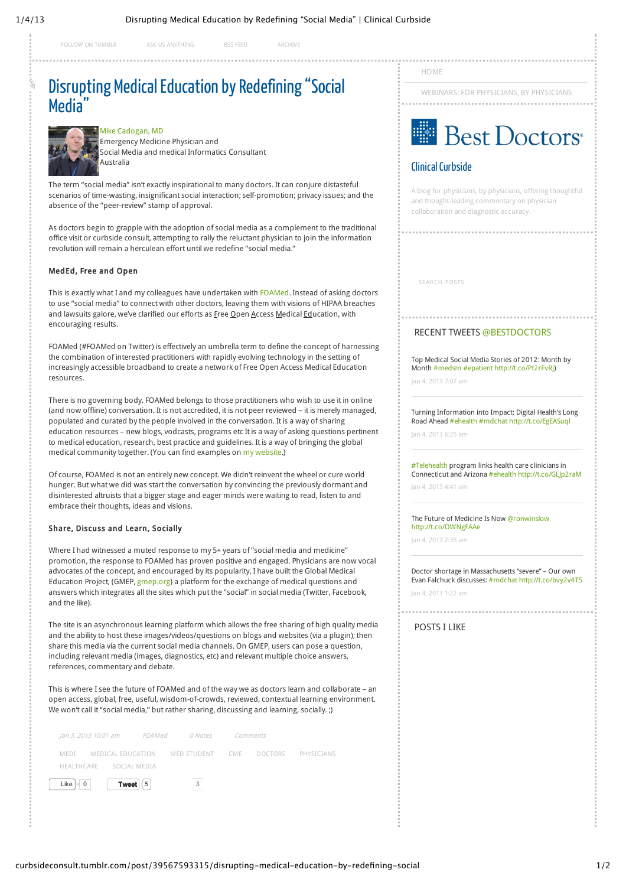[FOLLOW ON TUMBLR](http://www.tumblr.com/follow/curbsideconsult) [ASK US ANYTHING](http://curbsideconsult.tumblr.com/ask) [RSS FEED](http://curbsideconsult.tumblr.com/rss) [ARCHIVE](http://curbsideconsult.tumblr.com/archive)

# [Disrupting Medical Education by Redefining "Social](http://curbsideconsult.tumblr.com/post/39567593315/disrupting-medical-education-by-redefining-social) Media<sup>"</sup>



[Mike Cadogan, MD](http://lifeinthefastlane.com/author/sandnsurf/)

 Emergency Medicine Physician and Social Media and medical Informatics Consultant Australia

The term "social media" isn't exactly inspirational to many doctors. It can conjure distasteful scenarios of time-wasting, insignificant social interaction; self-promotion; privacy issues; and the absence of the "peer-review" stamp of approval.

As doctors begin to grapple with the adoption of social media as a complement to the traditional office visit or curbside consult, attempting to rally the reluctant physician to join the information revolution will remain a herculean effort until we redefine "social media."

#### MedEd, Free and Open

This is exactly what I and my colleagues have undertaken with [FOAMed.](http://lifeinthefastlane.com/foam/) Instead of asking doctors to use "social media" to connect with other doctors, leaving them with visions of HIPAA breaches and lawsuits galore, we've clarified our efforts as Free Open Access Medical Education, with encouraging results.

FOAMed (#FOAMed on Twitter) is effectively an umbrella term to define the concept of harnessing the combination of interested practitioners with rapidly evolving technology in the setting of increasingly accessible broadband to create a network of Free Open Access Medical Education resources.

There is no governing body. FOAMed belongs to those practitioners who wish to use it in online (and now offline) conversation. It is not accredited, it is not peer reviewed – it is merely managed, populated and curated by the people involved in the conversation. It is a way of sharing education resources – new blogs, vodcasts, programs etc It is a way of asking questions pertinent to medical education, research, best practice and guidelines. It is a way of bringing the global medical community together. (You can find examples on [my website.](http://lifeinthefastlane.com/foam/))

Of course, FOAMed is not an entirely new concept. We didn't reinvent the wheel or cure world hunger. But what we did was start the conversation by convincing the previously dormant and disinterested altruists that a bigger stage and eager minds were waiting to read, listen to and embrace their thoughts, ideas and visions.

#### Share, Discuss and Learn, Socially

Where I had witnessed a muted response to my 5+ years of "social media and medicine" promotion, the response to FOAMed has proven positive and engaged. Physicians are now vocal advocates of the concept, and encouraged by its popularity, I have built the Global Medical Education Project, (GMEP, [gmep.org\)](https://gmep.org/) a platform for the exchange of medical questions and answers which integrates all the sites which put the "social" in social media (Twitter, Facebook, and the like).

The site is an asynchronous learning platform which allows the free sharing of high quality media and the ability to host these images/videos/questions on blogs and websites (via a plugin); then share this media via the current social media channels. On GMEP, users can pose a question, including relevant media (images, diagnostics, etc) and relevant multiple choice answers, references, commentary and debate.

This is where I see the future of FOAMed and of the way we as doctors learn and collaborate – an open access, global, free, useful, wisdom-of-crowds, reviewed, contextual learning environment. We won't call it "social media," but rather sharing, discussing and learning, socially. ;)

|                         |                | MEDI MEDICAL EDUCATION MED STUDENT CME DOCTORS PHYSICIANS |  |  |
|-------------------------|----------------|-----------------------------------------------------------|--|--|
| HEALTHCARE SOCIAL MEDIA |                |                                                           |  |  |
| Like                    | Tweet $\leq 5$ |                                                           |  |  |

[HOME](http://curbsideconsult.tumblr.com/)

[WEBINARS: FOR PHYSICIANS, BY PHYSICIANS](http://curbsideconsult.tumblr.com/webinars)



## [Clinical Curbside](http://curbsideconsult.tumblr.com/)

A blog for physicians, by physicians, offering thoughtful and thought-leading commentary on physician collaboration and diagnostic accuracy.

SEARCH POSTS

#### RECENT TWEETS [@BESTDOCTORS](http://twitter.com/bestdoctors)

Top Medical Social Media Stories of 2012: Month by Month [#medsm](http://twitter.com/search?q=%23medsm) [#epatient](http://twitter.com/search?q=%23epatient) [http://t.co/Pt2rFvRj\)](http://t.co/Pt2rFvRj)

[Jan 4, 2013 7:02 am](http://twitter.com/bestdoctors/status/286970736088862720)

Turning Information into Impact: Digital Health's Long Road Ahead [#ehealth](http://twitter.com/search?q=%23ehealth) [#mdchat](http://twitter.com/search?q=%23mdchat) <http://t.co/EgEASuql>

[Jan 4, 2013 6:25 am](http://twitter.com/bestdoctors/status/286961422792015872)

[#Telehealth](http://twitter.com/search?q=%23Telehealth) program links health care clinicians in Connecticut and Arizona [#ehealth](http://twitter.com/search?q=%23ehealth) <http://t.co/GLJp2raM>

[Jan 4, 2013 4:41 am](http://twitter.com/bestdoctors/status/286935225915801600)

The Future of Medicine Is Now [@ronwinslow](http://twitter.com/ronwinslow) <http://t.co/OWNgFAAe>

[Jan 4, 2013 2:35 am](http://twitter.com/bestdoctors/status/286903573432913921)

Doctor shortage in Massachusetts "severe" – Our own Evan Falchuck discusses: [#mdchat](http://twitter.com/search?q=%23mdchat) <http://t.co/bvy2v4T5> [Jan 4, 2013 1:22 am](http://twitter.com/bestdoctors/status/286885170521468928)

### POSTS I LIKE